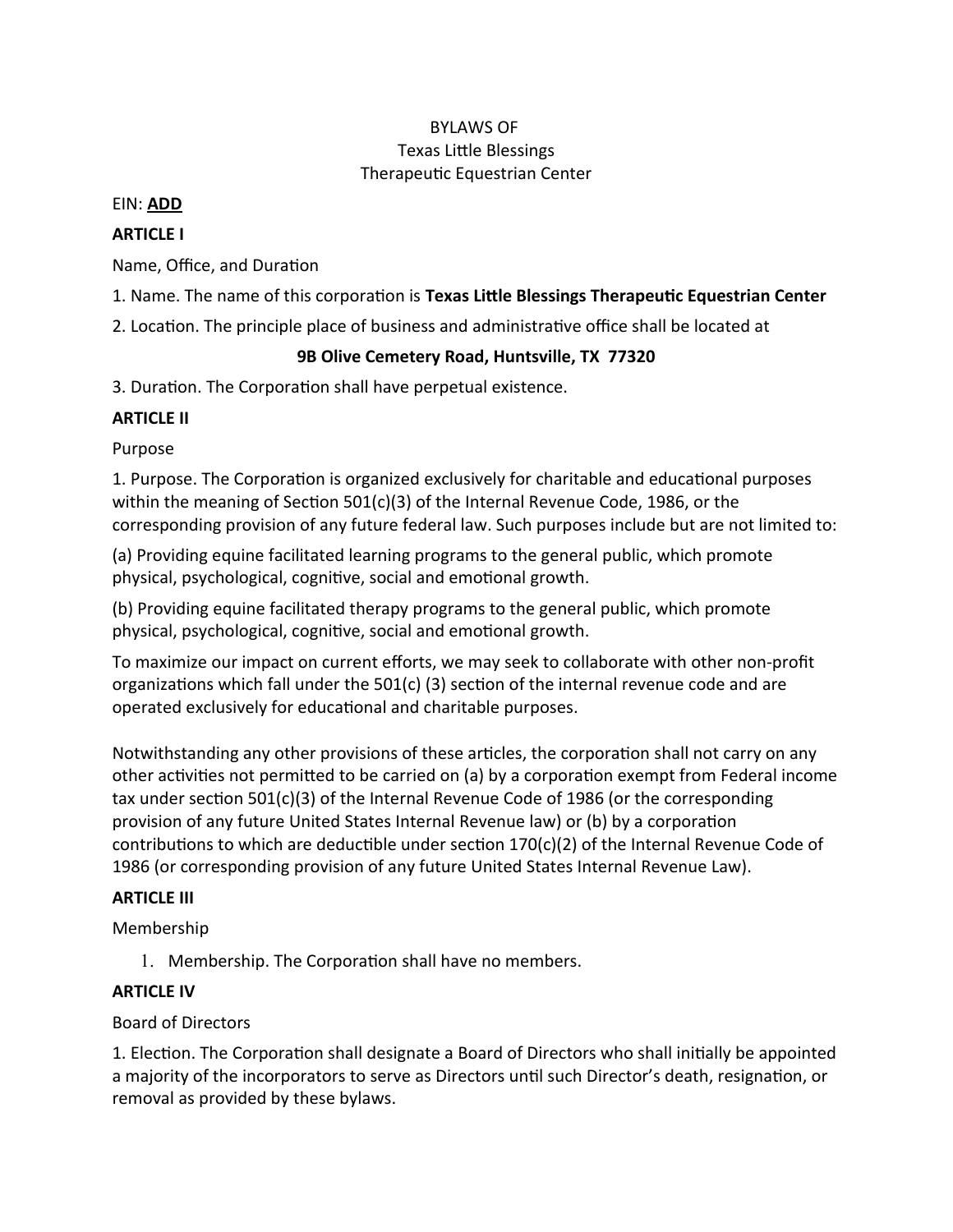# BYLAWS OF Texas Litle Blessings Therapeutic Equestrian Center

#### EIN: **ADD**

# **ARTICLE I**

Name, Office, and Duration

1. Name. The name of this corporaton is **Texas Litle Blessings Therapeutc Equestrian Center**

2. Location. The principle place of business and administrative office shall be located at

## **9B Olive Cemetery Road, Huntsville, TX 77320**

3. Duration. The Corporation shall have perpetual existence.

# **ARTICLE II**

Purpose

1. Purpose. The Corporation is organized exclusively for charitable and educational purposes within the meaning of Section  $501(c)(3)$  of the Internal Revenue Code, 1986, or the corresponding provision of any future federal law. Such purposes include but are not limited to:

(a) Providing equine facilitated learning programs to the general public, which promote physical, psychological, cognitive, social and emotional growth.

(b) Providing equine facilitated therapy programs to the general public, which promote physical, psychological, cognitive, social and emotional growth.

To maximize our impact on current efforts, we may seek to collaborate with other non-profit organizations which fall under the  $501(c)$  (3) section of the internal revenue code and are operated exclusively for educatonal and charitable purposes.

Notwithstanding any other provisions of these articles, the corporation shall not carry on any other activities not permitted to be carried on (a) by a corporation exempt from Federal income tax under section  $501(c)(3)$  of the Internal Revenue Code of 1986 (or the corresponding provision of any future United States Internal Revenue law) or (b) by a corporaton contributions to which are deductible under section  $170(c)(2)$  of the Internal Revenue Code of 1986 (or corresponding provision of any future United States Internal Revenue Law).

# **ARTICLE III**

Membership

1. Membership. The Corporation shall have no members.

# **ARTICLE IV**

# Board of Directors

1. Election. The Corporation shall designate a Board of Directors who shall initially be appointed a majority of the incorporators to serve as Directors until such Director's death, resignation, or removal as provided by these bylaws.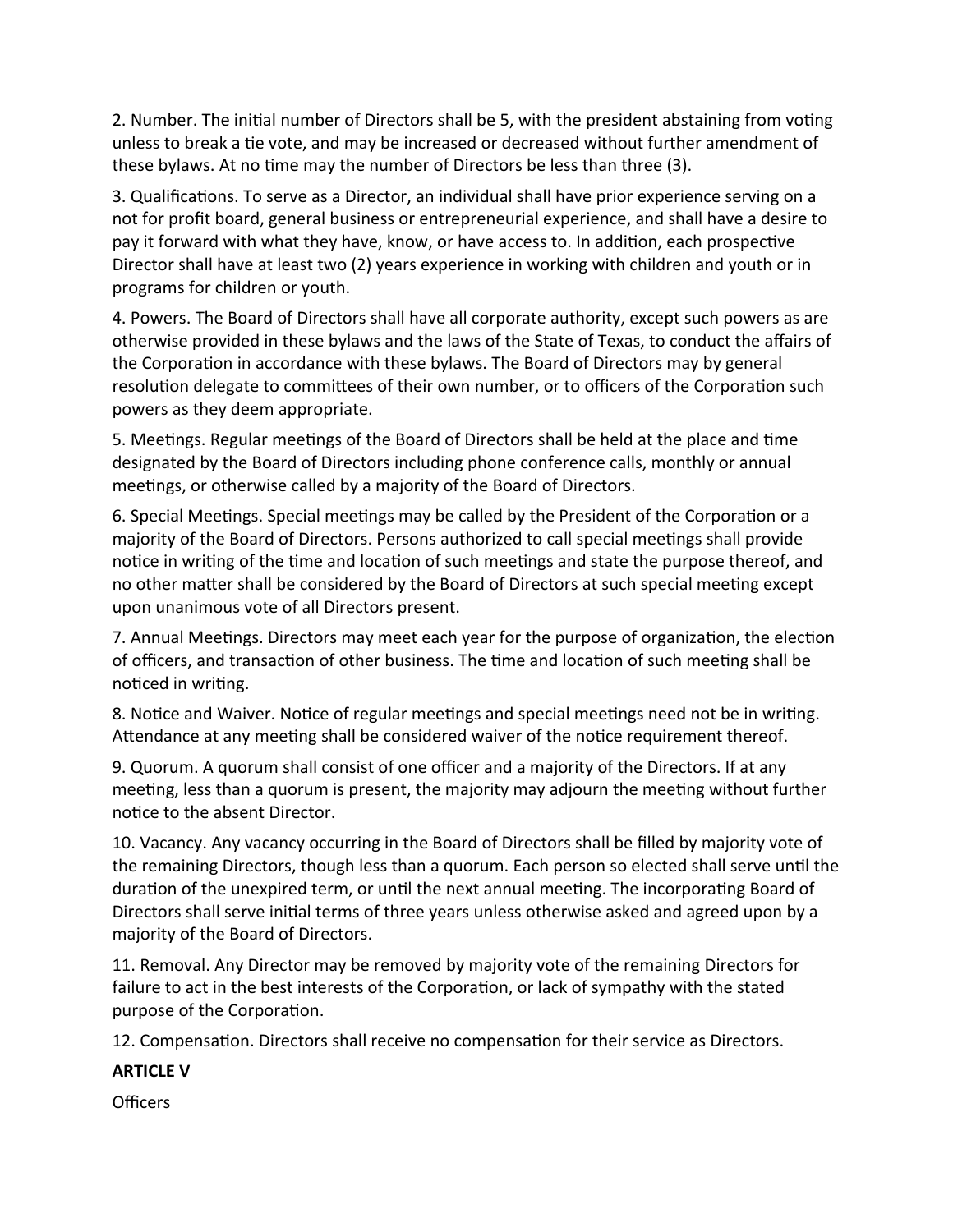2. Number. The initial number of Directors shall be 5, with the president abstaining from voting unless to break a tie vote, and may be increased or decreased without further amendment of these bylaws. At no time may the number of Directors be less than three (3).

3. Qualifications. To serve as a Director, an individual shall have prior experience serving on a not for proft board, general business or entrepreneurial experience, and shall have a desire to pay it forward with what they have, know, or have access to. In additon, each prospectve Director shall have at least two (2) years experience in working with children and youth or in programs for children or youth.

4. Powers. The Board of Directors shall have all corporate authority, except such powers as are otherwise provided in these bylaws and the laws of the State of Texas, to conduct the afairs of the Corporation in accordance with these bylaws. The Board of Directors may by general resolution delegate to committees of their own number, or to officers of the Corporation such powers as they deem appropriate.

5. Meetngs. Regular meetngs of the Board of Directors shall be held at the place and tme designated by the Board of Directors including phone conference calls, monthly or annual meetings, or otherwise called by a majority of the Board of Directors.

6. Special Meetngs. Special meetngs may be called by the President of the Corporaton or a majority of the Board of Directors. Persons authorized to call special meetngs shall provide notice in writing of the time and location of such meetings and state the purpose thereof, and no other matter shall be considered by the Board of Directors at such special meeting except upon unanimous vote of all Directors present.

7. Annual Meetings. Directors may meet each year for the purpose of organization, the election of officers, and transaction of other business. The time and location of such meeting shall be noticed in writing.

8. Notice and Waiver. Notice of regular meetings and special meetings need not be in writing. Attendance at any meeting shall be considered waiver of the notice requirement thereof.

9. Quorum. A quorum shall consist of one officer and a majority of the Directors. If at any meeting, less than a quorum is present, the majority may adjourn the meeting without further notice to the absent Director.

10. Vacancy. Any vacancy occurring in the Board of Directors shall be flled by majority vote of the remaining Directors, though less than a quorum. Each person so elected shall serve until the duration of the unexpired term, or until the next annual meeting. The incorporating Board of Directors shall serve inital terms of three years unless otherwise asked and agreed upon by a majority of the Board of Directors.

11. Removal. Any Director may be removed by majority vote of the remaining Directors for failure to act in the best interests of the Corporaton, or lack of sympathy with the stated purpose of the Corporation.

12. Compensation. Directors shall receive no compensation for their service as Directors.

# **ARTICLE V**

Officers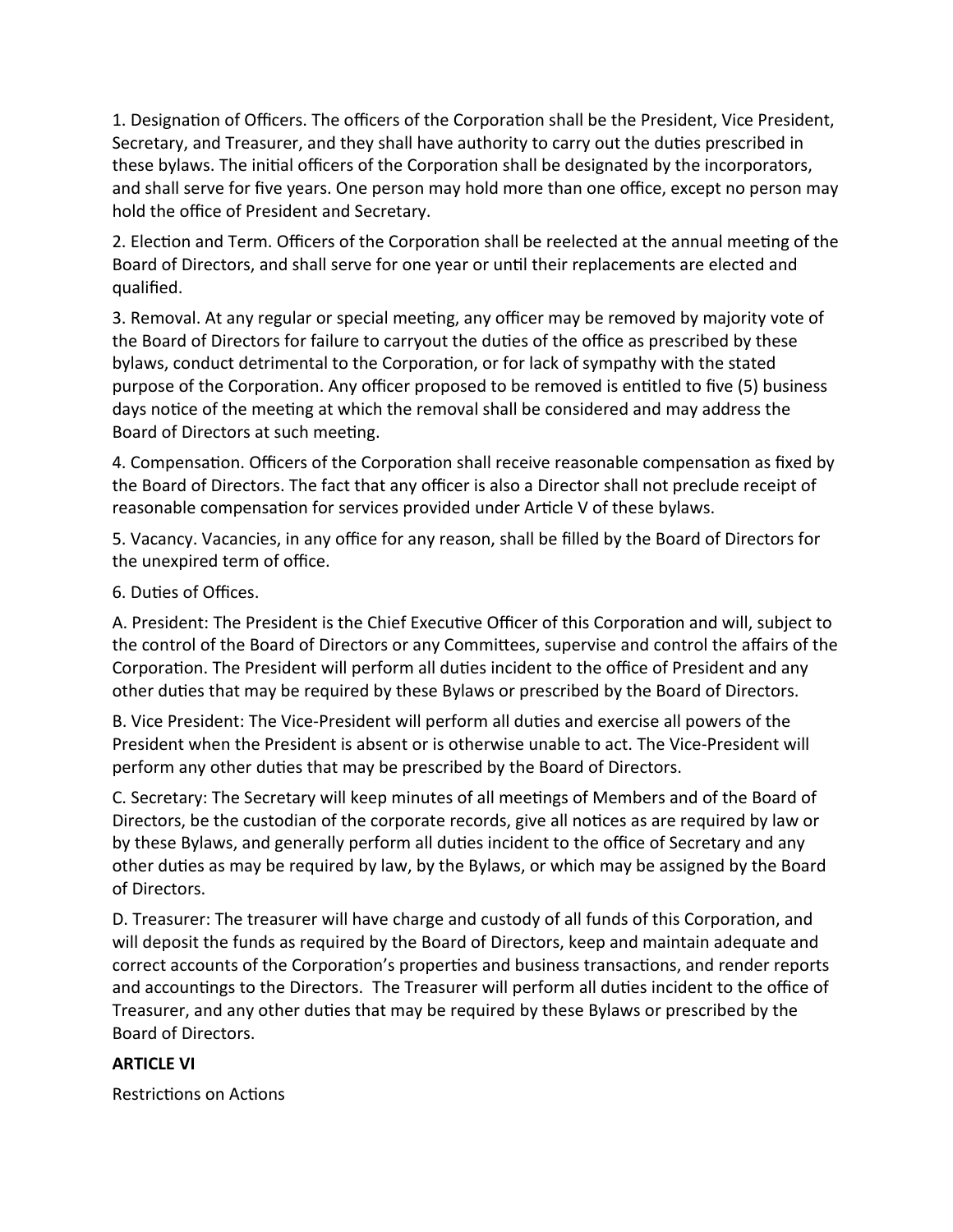1. Designation of Officers. The officers of the Corporation shall be the President, Vice President, Secretary, and Treasurer, and they shall have authority to carry out the dutes prescribed in these bylaws. The initial officers of the Corporation shall be designated by the incorporators, and shall serve for five years. One person may hold more than one office, except no person may hold the office of President and Secretary.

2. Election and Term. Officers of the Corporation shall be reelected at the annual meeting of the Board of Directors, and shall serve for one year or until their replacements are elected and qualifed.

3. Removal. At any regular or special meeting, any officer may be removed by majority vote of the Board of Directors for failure to carryout the duties of the office as prescribed by these bylaws, conduct detrimental to the Corporation, or for lack of sympathy with the stated purpose of the Corporation. Any officer proposed to be removed is entitled to five (5) business days notice of the meeting at which the removal shall be considered and may address the Board of Directors at such meeting.

4. Compensation. Officers of the Corporation shall receive reasonable compensation as fixed by the Board of Directors. The fact that any officer is also a Director shall not preclude receipt of reasonable compensation for services provided under Article V of these bylaws.

5. Vacancy. Vacancies, in any office for any reason, shall be filled by the Board of Directors for the unexpired term of office.

6. Duties of Offices.

A. President: The President is the Chief Executive Officer of this Corporation and will, subject to the control of the Board of Directors or any Commitees, supervise and control the afairs of the Corporation. The President will perform all duties incident to the office of President and any other duties that may be required by these Bylaws or prescribed by the Board of Directors.

B. Vice President: The Vice-President will perform all duties and exercise all powers of the President when the President is absent or is otherwise unable to act. The Vice-President will perform any other duties that may be prescribed by the Board of Directors.

C. Secretary: The Secretary will keep minutes of all meetngs of Members and of the Board of Directors, be the custodian of the corporate records, give all notices as are required by law or by these Bylaws, and generally perform all duties incident to the office of Secretary and any other duties as may be required by law, by the Bylaws, or which may be assigned by the Board of Directors.

D. Treasurer: The treasurer will have charge and custody of all funds of this Corporaton, and will deposit the funds as required by the Board of Directors, keep and maintain adequate and correct accounts of the Corporation's properties and business transactions, and render reports and accountings to the Directors. The Treasurer will perform all duties incident to the office of Treasurer, and any other duties that may be required by these Bylaws or prescribed by the Board of Directors.

# **ARTICLE VI**

Restrictions on Actions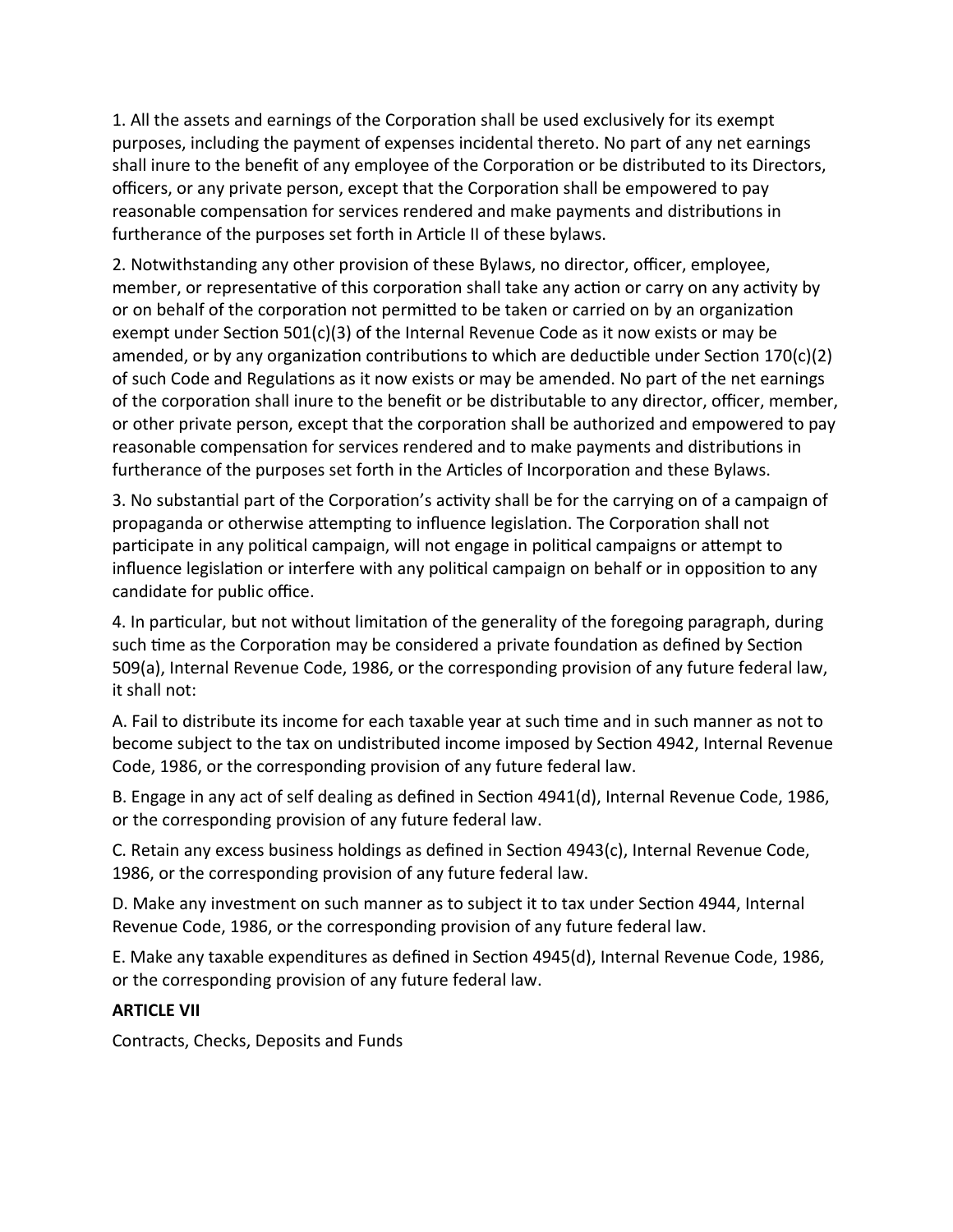1. All the assets and earnings of the Corporation shall be used exclusively for its exempt purposes, including the payment of expenses incidental thereto. No part of any net earnings shall inure to the benefit of any employee of the Corporation or be distributed to its Directors, officers, or any private person, except that the Corporation shall be empowered to pay reasonable compensation for services rendered and make payments and distributions in furtherance of the purposes set forth in Article II of these bylaws.

2. Notwithstanding any other provision of these Bylaws, no director, officer, employee, member, or representative of this corporation shall take any action or carry on any activity by or on behalf of the corporation not permitted to be taken or carried on by an organization exempt under Section 501(c)(3) of the Internal Revenue Code as it now exists or may be amended, or by any organization contributions to which are deductible under Section  $170(c)(2)$ of such Code and Regulatons as it now exists or may be amended. No part of the net earnings of the corporation shall inure to the benefit or be distributable to any director, officer, member, or other private person, except that the corporaton shall be authorized and empowered to pay reasonable compensation for services rendered and to make payments and distributions in furtherance of the purposes set forth in the Articles of Incorporation and these Bylaws.

3. No substantal part of the Corporaton's actvity shall be for the carrying on of a campaign of propaganda or otherwise attempting to influence legislation. The Corporation shall not partcipate in any politcal campaign, will not engage in politcal campaigns or atempt to influence legislation or interfere with any political campaign on behalf or in opposition to any candidate for public office.

4. In partcular, but not without limitaton of the generality of the foregoing paragraph, during such time as the Corporation may be considered a private foundation as defined by Section 509(a), Internal Revenue Code, 1986, or the corresponding provision of any future federal law, it shall not:

A. Fail to distribute its income for each taxable year at such tme and in such manner as not to become subject to the tax on undistributed income imposed by Secton 4942, Internal Revenue Code, 1986, or the corresponding provision of any future federal law.

B. Engage in any act of self dealing as defned in Secton 4941(d), Internal Revenue Code, 1986, or the corresponding provision of any future federal law.

C. Retain any excess business holdings as defned in Secton 4943(c), Internal Revenue Code, 1986, or the corresponding provision of any future federal law.

D. Make any investment on such manner as to subject it to tax under Secton 4944, Internal Revenue Code, 1986, or the corresponding provision of any future federal law.

E. Make any taxable expenditures as defned in Secton 4945(d), Internal Revenue Code, 1986, or the corresponding provision of any future federal law.

# **ARTICLE VII**

Contracts, Checks, Deposits and Funds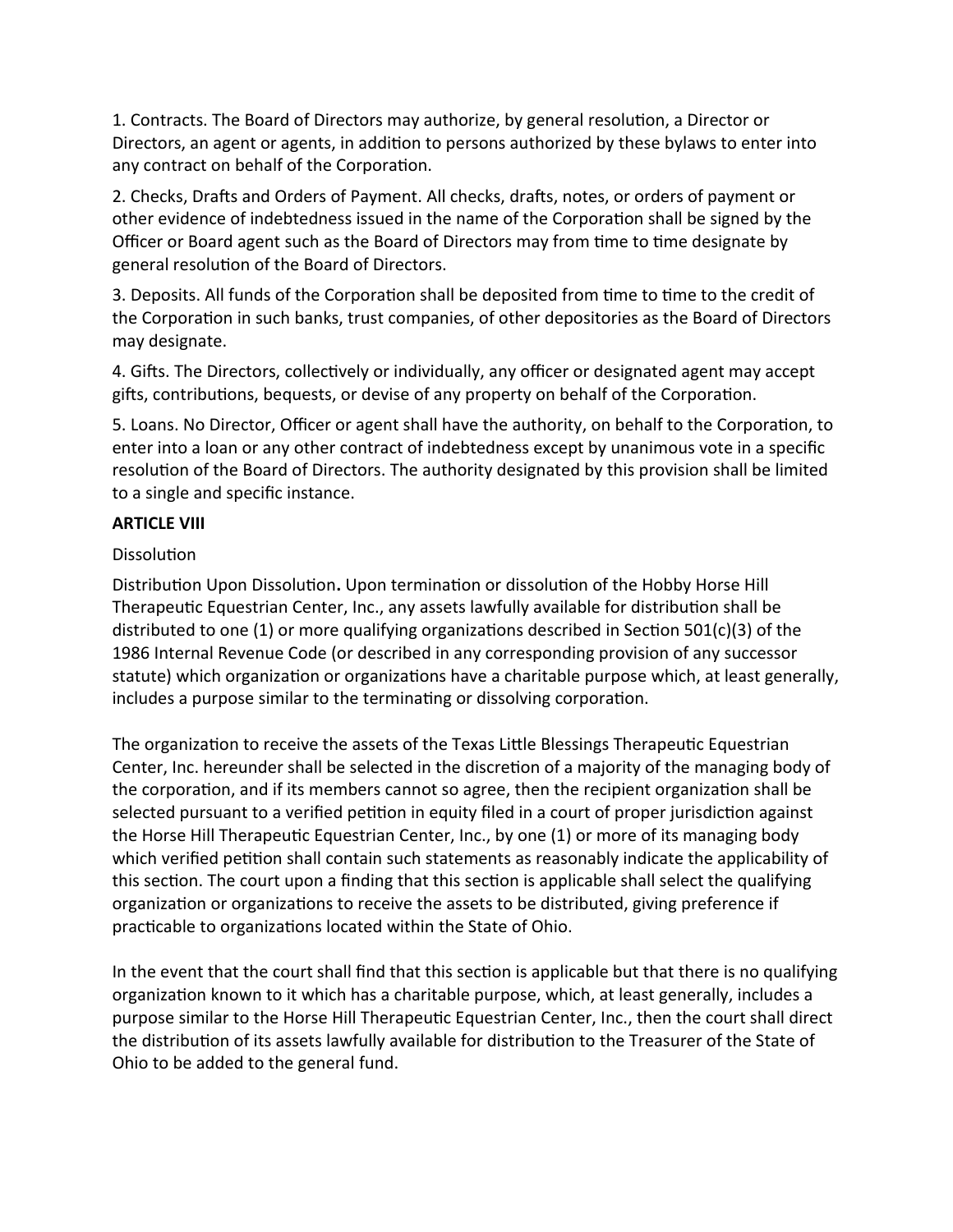1. Contracts. The Board of Directors may authorize, by general resolution, a Director or Directors, an agent or agents, in additon to persons authorized by these bylaws to enter into any contract on behalf of the Corporation.

2. Checks, Drafts and Orders of Payment. All checks, drafts, notes, or orders of payment or other evidence of indebtedness issued in the name of the Corporaton shall be signed by the Officer or Board agent such as the Board of Directors may from time to time designate by general resoluton of the Board of Directors.

3. Deposits. All funds of the Corporation shall be deposited from time to time to the credit of the Corporation in such banks, trust companies, of other depositories as the Board of Directors may designate.

4. Gifts. The Directors, collectively or individually, any officer or designated agent may accept gifts, contributions, bequests, or devise of any property on behalf of the Corporation.

5. Loans. No Director, Officer or agent shall have the authority, on behalf to the Corporation, to enter into a loan or any other contract of indebtedness except by unanimous vote in a specifc resolution of the Board of Directors. The authority designated by this provision shall be limited to a single and specific instance.

# **ARTICLE VIII**

## Dissolution

Distributon Upon Dissoluton**.** Upon terminaton or dissoluton of the Hobby Horse Hill Therapeutic Equestrian Center, Inc., any assets lawfully available for distribution shall be distributed to one (1) or more qualifying organizations described in Section 501(c)(3) of the 1986 Internal Revenue Code (or described in any corresponding provision of any successor statute) which organization or organizations have a charitable purpose which, at least generally, includes a purpose similar to the terminating or dissolving corporation.

The organization to receive the assets of the Texas Little Blessings Therapeutic Equestrian Center, Inc. hereunder shall be selected in the discretion of a majority of the managing body of the corporation, and if its members cannot so agree, then the recipient organization shall be selected pursuant to a verified petition in equity filed in a court of proper jurisdiction against the Horse Hill Therapeutic Equestrian Center, Inc., by one (1) or more of its managing body which verified petition shall contain such statements as reasonably indicate the applicability of this section. The court upon a finding that this section is applicable shall select the qualifying organizaton or organizatons to receive the assets to be distributed, giving preference if practicable to organizations located within the State of Ohio.

In the event that the court shall find that this section is applicable but that there is no qualifying organization known to it which has a charitable purpose, which, at least generally, includes a purpose similar to the Horse Hill Therapeutic Equestrian Center, Inc., then the court shall direct the distribution of its assets lawfully available for distribution to the Treasurer of the State of Ohio to be added to the general fund.